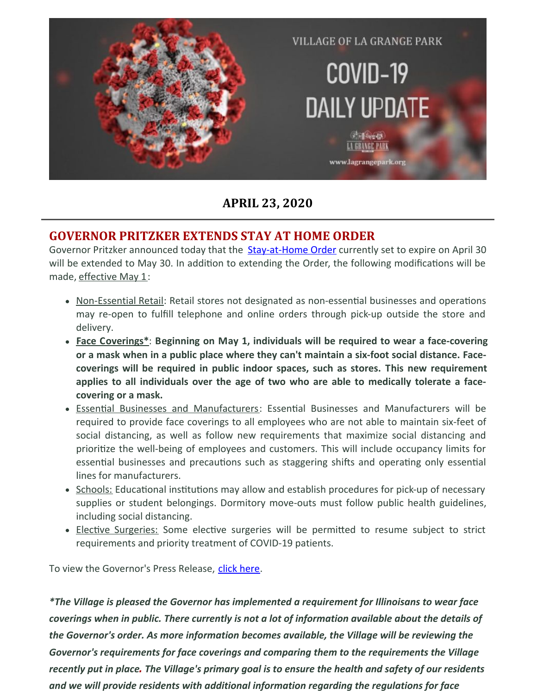

**APRIL 23, 2020**

### **GOVERNOR PRITZKER EXTENDS STAY AT HOME ORDER**

Governor Pritzker announced today that the **[Stay-at-Home](https://www2.illinois.gov/Documents/ExecOrders/2020/ExecutiveOrder-2020-10.pdf) Order** currently set to expire on April 30 will be extended to May 30. In addition to extending the Order, the following modifications will be made, effective May 1:

- Non-Essential Retail: Retail stores not designated as non-essential businesses and operations may re-open to fulfill telephone and online orders through pick-up outside the store and delivery.
- **Face Coverings\***: **Beginning on May 1, individuals will be required to wear a face-covering or a mask when in a public place where they can't maintain a six-foot social distance. Facecoverings will be required in public indoor spaces, such as stores. This new requirement applies to all individuals over the age of two who are able to medically tolerate a facecovering or a mask.**
- Essential Businesses and Manufacturers: Essential Businesses and Manufacturers will be required to provide face coverings to all employees who are not able to maintain six-feet of social distancing, as well as follow new requirements that maximize social distancing and prioritize the well-being of employees and customers. This will include occupancy limits for essential businesses and precautions such as staggering shifts and operating only essential lines for manufacturers.
- Schools: Educational institutions may allow and establish procedures for pick-up of necessary supplies or student belongings. Dormitory move-outs must follow public health guidelines, including social distancing.
- Elective Surgeries: Some elective surgeries will be permitted to resume subject to strict requirements and priority treatment of COVID-19 patients.

To view the Governor's Press Release, click [here](https://files.constantcontact.com/fac2adf0101/68883b84-af05-4aff-be5f-3a6d1d0a7c93.pdf).

*\*The Village is pleased the Governor has implemented a requirement for Illinoisans to wear face coverings when in public. There currently is not a lot of information available about the details of the Governor's order. As more information becomes available, the Village will be reviewing the Governor's requirements for face coverings and comparing them to the requirements the Village* recently put in place. The Village's primary goal is to ensure the health and safety of our residents *and we will provide residents with additional information regarding the regulations for face*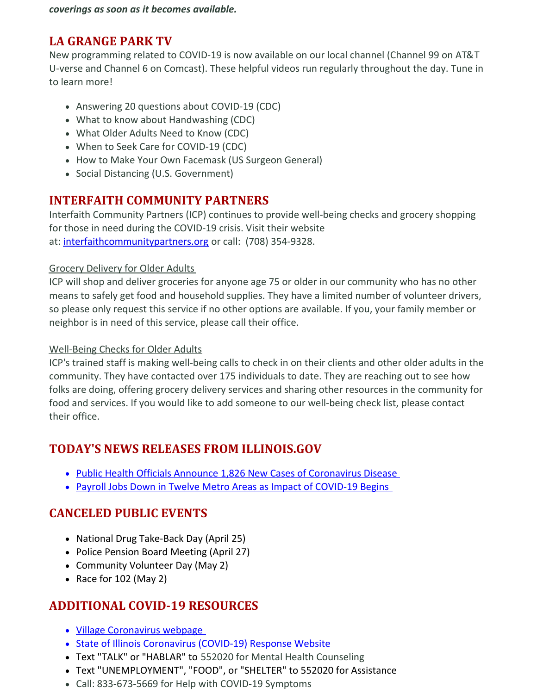*coverings as soon as it becomes available.*

### **LA GRANGE PARK TV**

New programming related to COVID-19 is now available on our local channel (Channel 99 on AT&T U-verse and Channel 6 on Comcast). These helpful videos run regularly throughout the day. Tune in to learn more!

- Answering 20 questions about COVID-19 (CDC)
- What to know about Handwashing (CDC)
- What Older Adults Need to Know (CDC)
- When to Seek Care for COVID-19 (CDC)
- How to Make Your Own Facemask (US Surgeon General)
- Social Distancing (U.S. Government)

## **INTERFAITH COMMUNITY PARTNERS**

Interfaith Community Partners (ICP) continues to provide well-being checks and grocery shopping for those in need during the COVID-19 crisis. Visit their website at: [interfaithcommunitypartners.org](https://interfaithcommunitypartners.org/) or call: (708) 354-9328.

#### Grocery Delivery for Older Adults

ICP will shop and deliver groceries for anyone age 75 or older in our community who has no other means to safely get food and household supplies. They have a limited number of volunteer drivers, so please only request this service if no other options are available. If you, your family member or neighbor is in need of this service, please call their office.

#### Well-Being Checks for Older Adults

ICP's trained staff is making well-being calls to check in on their clients and other older adults in the community. They have contacted over 175 individuals to date. They are reaching out to see how folks are doing, offering grocery delivery services and sharing other resources in the community for food and services. If you would like to add someone to our well-being check list, please contact their office.

## **TODAY'S NEWS RELEASES FROM ILLINOIS.GOV**

- Public Health Officials Announce 1,826 New Cases of [Coronavirus](https://www2.illinois.gov/Pages/news-item.aspx?ReleaseID=21458) Disease
- Payroll Jobs Down in Twelve Metro Areas as Impact of [COVID-19](https://www2.illinois.gov/Pages/news-item.aspx?ReleaseID=21454) Begins

## **CANCELED PUBLIC EVENTS**

- National Drug Take-Back Day (April 25)
- Police Pension Board Meeting (April 27)
- Community Volunteer Day (May 2)
- Race for  $102$  (May 2)

## **ADDITIONAL COVID-19 RESOURCES**

- Village [Coronavirus](http://www.lagrangepark.org/505/Coronavirus-COVID-19) webpage
- State of Illinois [Coronavirus](https://www2.illinois.gov/sites/coronavirus/Pages/default.aspx) (COVID-19) Response Website
- Text "TALK" or "HABLAR" to 552020 for Mental Health Counseling
- Text "UNEMPLOYMENT", "FOOD", or "SHELTER" to 552020 for Assistance
- Call: 833-673-5669 for Help with COVID-19 Symptoms